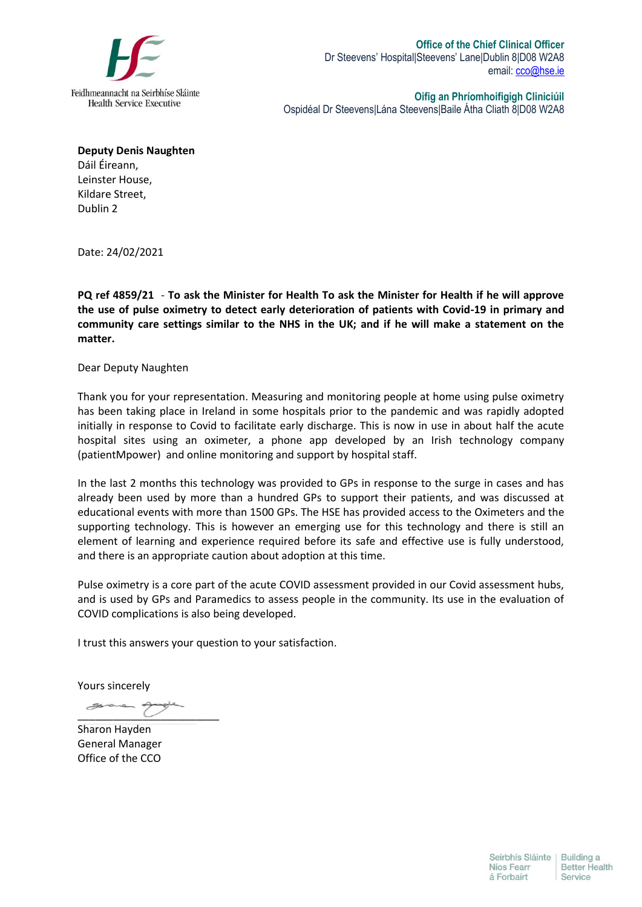

**Oifig an Phríomhoifigigh Cliniciúil** Ospidéal Dr Steevens|Lána Steevens|Baile Átha Cliath 8|D08 W2A8

**Deputy Denis Naughten** Dáil Éireann, Leinster House, Kildare Street, Dublin 2

Date: 24/02/2021

**PQ ref 4859/21** - **To ask the Minister for Health To ask the Minister for Health if he will approve the use of pulse oximetry to detect early deterioration of patients with Covid-19 in primary and community care settings similar to the NHS in the UK; and if he will make a statement on the matter.**

Dear Deputy Naughten

Thank you for your representation. Measuring and monitoring people at home using pulse oximetry has been taking place in Ireland in some hospitals prior to the pandemic and was rapidly adopted initially in response to Covid to facilitate early discharge. This is now in use in about half the acute hospital sites using an oximeter, a phone app developed by an Irish technology company (patientMpower) and online monitoring and support by hospital staff.

In the last 2 months this technology was provided to GPs in response to the surge in cases and has already been used by more than a hundred GPs to support their patients, and was discussed at educational events with more than 1500 GPs. The HSE has provided access to the Oximeters and the supporting technology. This is however an emerging use for this technology and there is still an element of learning and experience required before its safe and effective use is fully understood, and there is an appropriate caution about adoption at this time.

Pulse oximetry is a core part of the acute COVID assessment provided in our Covid assessment hubs, and is used by GPs and Paramedics to assess people in the community. Its use in the evaluation of COVID complications is also being developed.

I trust this answers your question to your satisfaction.

Yours sincerely

 $\overline{\phantom{a}}$ 

Sharon Hayden General Manager Office of the CCO

Seirbhís Sláinte | Building a Níos Fearr **Better Health** á Forbairt Service